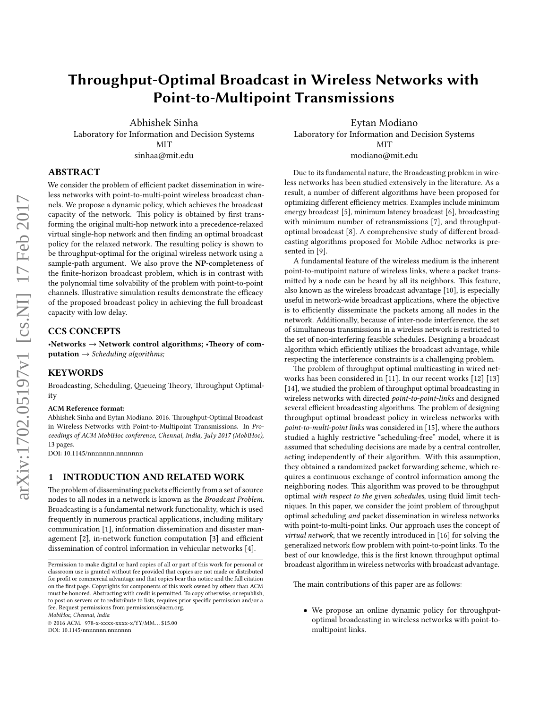# Throughput-Optimal Broadcast in Wireless Networks with Point-to-Multipoint Transmissions

Abhishek Sinha Laboratory for Information and Decision Systems MIT sinhaa@mit.edu

Eytan Modiano Laboratory for Information and Decision Systems MIT modiano@mit.edu

# ABSTRACT

We consider the problem of efficient packet dissemination in wireless networks with point-to-multi-point wireless broadcast channels. We propose a dynamic policy, which achieves the broadcast capacity of the network. This policy is obtained by first transforming the original multi-hop network into a precedence-relaxed virtual single-hop network and then finding an optimal broadcast policy for the relaxed network. The resulting policy is shown to be throughput-optimal for the original wireless network using a sample-path argument. We also prove the NP-completeness of the finite-horizon broadcast problem, which is in contrast with the polynomial time solvability of the problem with point-to-point channels. Illustrative simulation results demonstrate the efficacy of the proposed broadcast policy in achieving the full broadcast capacity with low delay.

# CCS CONCEPTS

•Networks  $\rightarrow$  Network control algorithms; •Theory of com- $\mathbf{putation} \rightarrow \mathit{Scheduling}\ algorithms;$ 

### KEYWORDS

Broadcasting, Scheduling, Queueing Theory, Throughput Optimality

#### ACM Reference format:

Abhishek Sinha and Eytan Modiano. 2016. Throughput-Optimal Broadcast in Wireless Networks with Point-to-Multipoint Transmissions. In Proceedings of ACM MobiHoc conference, Chennai, India, July 2017 (MobiHoc), 13 pages.

DOI: 10.1145/nnnnnnn.nnnnnnn

#### 1 INTRODUCTION AND RELATED WORK

The problem of disseminating packets efficiently from a set of source nodes to all nodes in a network is known as the Broadcast Problem. Broadcasting is a fundamental network functionality, which is used frequently in numerous practical applications, including military communication [1], information dissemination and disaster management [2], in-network function computation [3] and efficient dissemination of control information in vehicular networks [4].

MobiHoc, Chennai, India

© 2016 ACM. 978-x-xxxx-xxxx-x/YY/MM. . . \$15.00 DOI: 10.1145/nnnnnnn.nnnnnnn

Due to its fundamental nature, the Broadcasting problem in wireless networks has been studied extensively in the literature. As a result, a number of different algorithms have been proposed for optimizing different efficiency metrics. Examples include minimum energy broadcast [5], minimum latency broadcast [6], broadcasting with minimum number of retransmissions [7], and throughputoptimal broadcast [8]. A comprehensive study of different broadcasting algorithms proposed for Mobile Adhoc networks is presented in [9].

A fundamental feature of the wireless medium is the inherent point-to-mutipoint nature of wireless links, where a packet transmitted by a node can be heard by all its neighbors. This feature, also known as the wireless broadcast advantage [10], is especially useful in network-wide broadcast applications, where the objective is to efficiently disseminate the packets among all nodes in the network. Additionally, because of inter-node interference, the set of simultaneous transmissions in a wireless network is restricted to the set of non-interfering feasible schedules. Designing a broadcast algorithm which efficiently utilizes the broadcast advantage, while respecting the interference constraints is a challenging problem.

The problem of throughput optimal multicasting in wired networks has been considered in [11]. In our recent works [12] [13] [14], we studied the problem of throughput optimal broadcasting in wireless networks with directed point-to-point-links and designed several efficient broadcasting algorithms. The problem of designing throughput optimal broadcast policy in wireless networks with point-to-multi-point links was considered in [15], where the authors studied a highly restrictive "scheduling-free" model, where it is assumed that scheduling decisions are made by a central controller, acting independently of their algorithm. With this assumption, they obtained a randomized packet forwarding scheme, which requires a continuous exchange of control information among the neighboring nodes. This algorithm was proved to be throughput optimal with respect to the given schedules, using fluid limit techniques. In this paper, we consider the joint problem of throughput optimal scheduling and packet dissemination in wireless networks with point-to-multi-point links. Our approach uses the concept of virtual network, that we recently introduced in [16] for solving the generalized network flow problem with point-to-point links. To the best of our knowledge, this is the first known throughput optimal broadcast algorithm in wireless networks with broadcast advantage.

The main contributions of this paper are as follows:

• We propose an online dynamic policy for throughputoptimal broadcasting in wireless networks with point-tomultipoint links.

Permission to make digital or hard copies of all or part of this work for personal or classroom use is granted without fee provided that copies are not made or distributed for profit or commercial advantage and that copies bear this notice and the full citation on the first page. Copyrights for components of this work owned by others than ACM must be honored. Abstracting with credit is permitted. To copy otherwise, or republish, to post on servers or to redistribute to lists, requires prior specific permission and/or a fee. Request permissions from permissions@acm.org.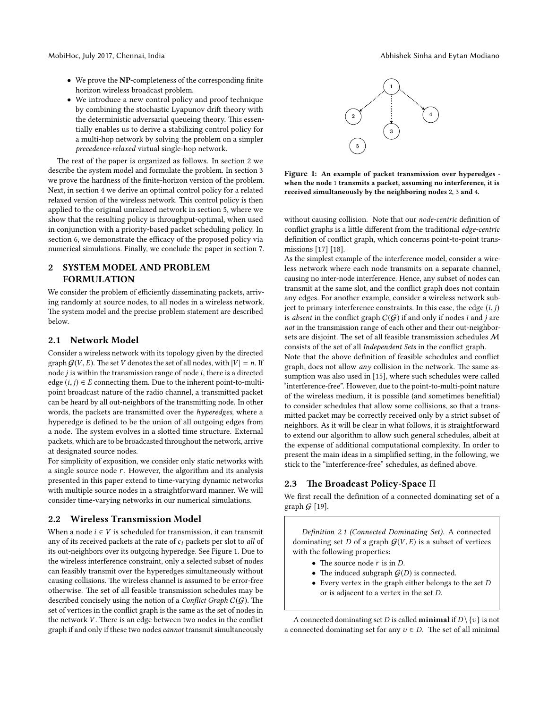- We prove the NP-completeness of the corresponding finite horizon wireless broadcast problem.
- We introduce a new control policy and proof technique by combining the stochastic Lyapunov drift theory with the deterministic adversarial queueing theory. This essentially enables us to derive a stabilizing control policy for a multi-hop network by solving the problem on a simpler precedence-relaxed virtual single-hop network.

The rest of the paper is organized as follows. In section 2 we describe the system model and formulate the problem. In section 3 we prove the hardness of the finite-horizon version of the problem. Next, in section 4 we derive an optimal control policy for a related relaxed version of the wireless network. This control policy is then applied to the original unrelaxed network in section 5, where we show that the resulting policy is throughput-optimal, when used in conjunction with a priority-based packet scheduling policy. In section 6, we demonstrate the efficacy of the proposed policy via numerical simulations. Finally, we conclude the paper in section 7.

# 2 SYSTEM MODEL AND PROBLEM FORMULATION

We consider the problem of efficiently disseminating packets, arriving randomly at source nodes, to all nodes in a wireless network. The system model and the precise problem statement are described below.

# 2.1 Network Model

Consider a wireless network with its topology given by the directed graph  $G(V, E)$ . The set V denotes the set of all nodes, with  $|V| = n$ . If node  $j$  is within the transmission range of node  $i$ , there is a directed edge  $(i, j) \in E$  connecting them. Due to the inherent point-to-multipoint broadcast nature of the radio channel, a transmitted packet can be heard by all out-neighbors of the transmitting node. In other words, the packets are transmitted over the *hyperedges*, where a hyperedge is defined to be the union of all outgoing edges from a node. The system evolves in a slotted time structure. External packets, which are to be broadcasted throughout the network, arrive at designated source nodes.

For simplicity of exposition, we consider only static networks with a single source node r. However, the algorithm and its analysis presented in this paper extend to time-varying dynamic networks with multiple source nodes in a straightforward manner. We will consider time-varying networks in our numerical simulations.

#### 2.2 Wireless Transmission Model

When a node  $i \in V$  is scheduled for transmission, it can transmit any of its received packets at the rate of  $c_i$  packets per slot to all of its out-neighbors over its outgoing hyperedge. See Figure 1. Due to the wireless interference constraint, only a selected subset of nodes can feasibly transmit over the hyperedges simultaneously without causing collisions. The wireless channel is assumed to be error-free otherwise. The set of all feasible transmission schedules may be described concisely using the notion of a *Conflict Graph*  $C(G)$ . The set of vertices in the conflict graph is the same as the set of nodes in the network  $V$ . There is an edge between two nodes in the conflict graph if and only if these two nodes cannot transmit simultaneously



Figure 1: An example of packet transmission over hyperedges when the node 1 transmits a packet, assuming no interference, it is received simultaneously by the neighboring nodes 2, 3 and 4.

without causing collision. Note that our node-centric definition of conflict graphs is a little different from the traditional edge-centric definition of conflict graph, which concerns point-to-point transmissions [17] [18].

As the simplest example of the interference model, consider a wireless network where each node transmits on a separate channel, causing no inter-node interference. Hence, any subset of nodes can transmit at the same slot, and the conflict graph does not contain any edges. For another example, consider a wireless network subject to primary interference constraints. In this case, the edge  $(i, j)$ is absent in the conflict graph  $C(\mathcal{G})$  if and only if nodes  $i$  and  $j$  are not in the transmission range of each other and their out-neighborsets are disjoint. The set of all feasible transmission schedules  $M$ consists of the set of all Independent Sets in the conflict graph.

Note that the above definition of feasible schedules and conflict graph, does not allow  $any$  collision in the network. The same assumption was also used in [15], where such schedules were called "interference-free". However, due to the point-to-multi-point nature of the wireless medium, it is possible (and sometimes benefitial) to consider schedules that allow some collisions, so that a transmitted packet may be correctly received only by a strict subset of neighbors. As it will be clear in what follows, it is straightforward to extend our algorithm to allow such general schedules, albeit at the expense of additional computational complexity. In order to present the main ideas in a simplified setting, in the following, we stick to the "interference-free" schedules, as defined above.

#### 2.3 The Broadcast Policy-Space  $\Pi$

We first recall the definition of a connected dominating set of a graph  $G$  [19].

Definition 2.1 (Connected Dominating Set). A connected dominating set  $D$  of a graph  $G(V, E)$  is a subset of vertices with the following properties:

- The source node  $r$  is in  $D$ .
- The induced subgraph  $G(D)$  is connected.
- Every vertex in the graph either belongs to the set D or is adjacent to a vertex in the set D.

A connected dominating set D is called **minimal** if  $D \setminus \{v\}$  is not a connected dominating set for any  $v \in D$ . The set of all minimal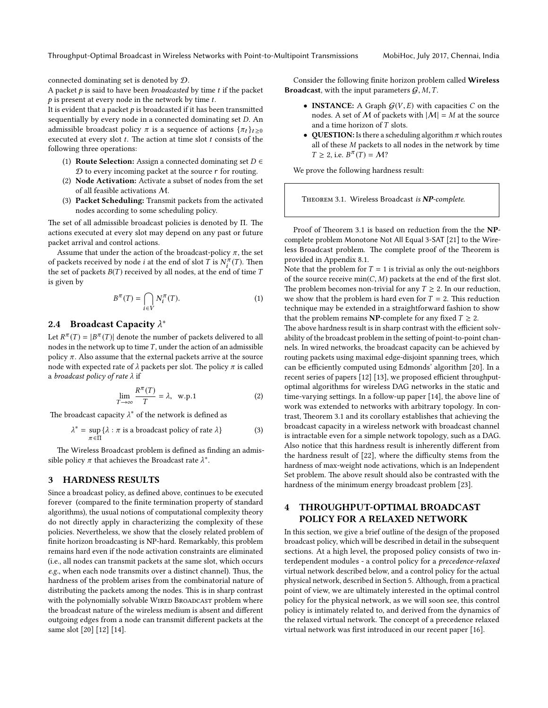connected dominating set is denoted by D.

A packet  $p$  is said to have been *broadcasted* by time  $t$  if the packet  $p$  is present at every node in the network by time  $t$ .

It is evident that a packet  $p$  is broadcasted if it has been transmitted sequentially by every node in a connected dominating set D. An admissible broadcast policy  $\pi$  is a sequence of actions  $\{\pi_t\}_{t>0}$ executed at every slot  $t$ . The action at time slot  $t$  consists of the following three operations:

- (1) **Route Selection:** Assign a connected dominating set  $D \in$  $D$  to every incoming packet at the source  $r$  for routing.
- (2) Node Activation: Activate a subset of nodes from the set of all feasible activations M.
- (3) Packet Scheduling: Transmit packets from the activated nodes according to some scheduling policy.

The set of all admissible broadcast policies is denoted by  $\Pi$ . The actions executed at every slot may depend on any past or future packet arrival and control actions.

Assume that under the action of the broadcast-policy  $\pi$ , the set of packets received by node *i* at the end of slot *T* is  $N_i^{\pi}(T)$ . Then the set of packets  $B(T)$  received by all nodes, at the end of time  $T$ is given by

$$
B^{\pi}(T) = \bigcap_{i \in V} N_i^{\pi}(T). \tag{1}
$$

### 2.4 Broadcast Capacity  $\lambda^*$

Let  $R^{\pi}(T) = |B^{\pi}(T)|$  denote the number of packets delivered to all nodes in the network up to time  $T$ , under the action of an admissible policy π. Also assume that the external packets arrive at the source node with expected rate of  $\lambda$  packets per slot. The policy  $\pi$  is called a broadcast policy of rate λ if

$$
\lim_{T \to \infty} \frac{R^{\pi}(T)}{T} = \lambda, \quad \text{w.p.1}
$$
 (2)

The broadcast capacity  $\lambda^*$  of the network is defined as

$$
\lambda^* = \sup_{\pi \in \Pi} \{ \lambda : \pi \text{ is a broadcast policy of rate } \lambda \}
$$
 (3)

The Wireless Broadcast problem is defined as finding an admissible policy  $\pi$  that achieves the Broadcast rate  $\lambda^*$ .

## 3 HARDNESS RESULTS

Since a broadcast policy, as defined above, continues to be executed forever (compared to the finite termination property of standard algorithms), the usual notions of computational complexity theory do not directly apply in characterizing the complexity of these policies. Nevertheless, we show that the closely related problem of finite horizon broadcasting is NP-hard. Remarkably, this problem remains hard even if the node activation constraints are eliminated (i.e., all nodes can transmit packets at the same slot, which occurs  $e.g.,$  when each node transmits over a distinct channel). Thus, the hardness of the problem arises from the combinatorial nature of distributing the packets among the nodes. This is in sharp contrast with the polynomially solvable WIRED BROADCAST problem where the broadcast nature of the wireless medium is absent and different outgoing edges from a node can transmit different packets at the same slot [20] [12] [14].

Consider the following finite horizon problem called Wireless **Broadcast**, with the input parameters  $G, M, T$ .

- **INSTANCE:** A Graph  $G(V, E)$  with capacities C on the nodes. A set of M of packets with  $|M| = M$  at the source and a time horizon of T slots.
- QUESTION: Is there a scheduling algorithm  $\pi$  which routes all of these M packets to all nodes in the network by time  $T \geq 2$ , i.e.  $B^{\pi}(T) = M$ ?

We prove the following hardness result:

THEOREM 3.1. Wireless Broadcast is NP-complete.

Proof of Theorem 3.1 is based on reduction from the the NPcomplete problem Monotone Not All Equal 3-SAT [21] to the Wireless Broadcast problem. The complete proof of the Theorem is provided in Appendix 8.1.

Note that the problem for  $T = 1$  is trivial as only the out-neighbors of the source receive  $min(C, M)$  packets at the end of the first slot. The problem becomes non-trivial for any  $T \geq 2$ . In our reduction, we show that the problem is hard even for  $T = 2$ . This reduction technique may be extended in a straightforward fashion to show that the problem remains **NP**-complete for any fixed  $T \geq 2$ .

The above hardness result is in sharp contrast with the efficient solvability of the broadcast problem in the setting of point-to-point channels. In wired networks, the broadcast capacity can be achieved by routing packets using maximal edge-disjoint spanning trees, which can be efficiently computed using Edmonds' algorithm [20]. In a recent series of papers [12] [13], we proposed efficient throughputoptimal algorithms for wireless DAG networks in the static and time-varying settings. In a follow-up paper [14], the above line of work was extended to networks with arbitrary topology. In contrast, Theorem 3.1 and its corollary establishes that achieving the broadcast capacity in a wireless network with broadcast channel is intractable even for a simple network topology, such as a DAG. Also notice that this hardness result is inherently different from the hardness result of [22], where the difficulty stems from the hardness of max-weight node activations, which is an Independent Set problem. The above result should also be contrasted with the hardness of the minimum energy broadcast problem [23].

# 4 THROUGHPUT-OPTIMAL BROADCAST POLICY FOR A RELAXED NETWORK

In this section, we give a brief outline of the design of the proposed broadcast policy, which will be described in detail in the subsequent sections. At a high level, the proposed policy consists of two interdependent modules - a control policy for a precedence-relaxed virtual network described below, and a control policy for the actual physical network, described in Section 5. Although, from a practical point of view, we are ultimately interested in the optimal control policy for the physical network, as we will soon see, this control policy is intimately related to, and derived from the dynamics of the relaxed virtual network. The concept of a precedence relaxed virtual network was first introduced in our recent paper [16].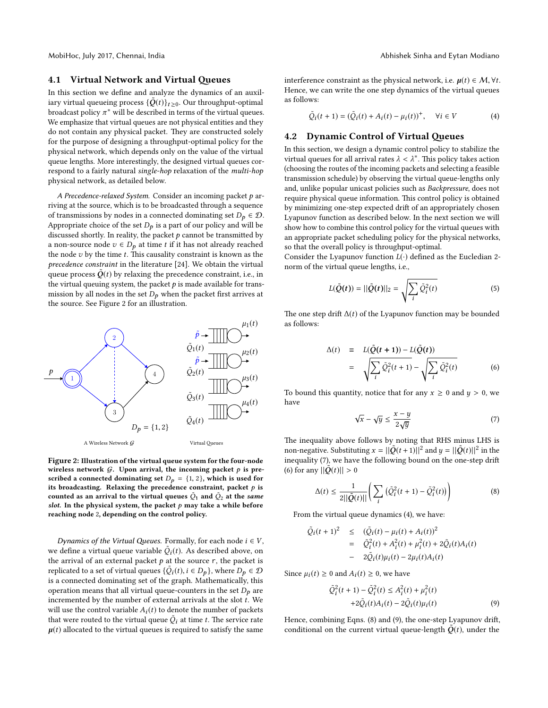#### 4.1 Virtual Network and Virtual Queues

In this section we define and analyze the dynamics of an auxiliary virtual queueing process  ${\{\tilde{Q}(t)\}}_{t \geq 0}$ . Our throughput-optimal broadcast policy  $\pi^*$  will be described in terms of the virtual queues. We emphasize that virtual queues are not physical entities and they do not contain any physical packet. They are constructed solely for the purpose of designing a throughput-optimal policy for the physical network, which depends only on the value of the virtual queue lengths. More interestingly, the designed virtual queues correspond to a fairly natural single-hop relaxation of the multi-hop physical network, as detailed below.

A Precedence-relaxed System. Consider an incoming packet  $p$  arriving at the source, which is to be broadcasted through a sequence of transmissions by nodes in a connected dominating set  $D_p \in \mathcal{D}$ . Appropriate choice of the set  $D_p$  is a part of our policy and will be discussed shortly. In reality, the packet  $p$  cannot be transmitted by a non-source node  $v \in D_p$  at time t if it has not already reached the node  $v$  by the time  $t$ . This causality constraint is known as the precedence constraint in the literature [24]. We obtain the virtual queue process  $\tilde{Q}(t)$  by relaxing the precedence constraint, i.e., in the virtual queuing system, the packet  $p$  is made available for transmission by all nodes in the set  $D_p$  when the packet first arrives at the source. See Figure 2 for an illustration.



Figure 2: Illustration of the virtual queue system for the four-node wireless network  $G$ . Upon arrival, the incoming packet  $p$  is prescribed a connected dominating set  $D_p = \{1, 2\}$ , which is used for its broadcasting. Relaxing the precedence constraint, packet  $p$  is counted as an arrival to the virtual queues  $\tilde{Q}_1$  and  $\tilde{Q}_2$  at the s*ame* slot. In the physical system, the packet  $p$  may take a while before reaching node 2, depending on the control policy.

Dynamics of the Virtual Queues. Formally, for each node  $i \in V$ , we define a virtual queue variable  $\tilde{Q}_i(t)$ . As described above, on the arrival of an external packet  $p$  at the source  $r$ , the packet is replicated to a set of virtual queues  $\{\tilde{Q}_i(t), i \in D_p\}$ , where  $D_p \in \mathcal{D}$ is a connected dominating set of the graph. Mathematically, this operation means that all virtual queue-counters in the set  $D_p$  are incremented by the number of external arrivals at the slot  $t$ . We will use the control variable  $A_i(t)$  to denote the number of packets that were routed to the virtual queue  $\tilde{Q}_i$  at time  $t.$  The service rate  $\mu(t)$  allocated to the virtual queues is required to satisfy the same

interference constraint as the physical network, i.e.  $\mu(t) \in \mathcal{M}, \forall t$ . Hence, we can write the one step dynamics of the virtual queues as follows:

$$
\tilde{Q}_i(t+1) = (\tilde{Q}_i(t) + A_i(t) - \mu_i(t))^+, \quad \forall i \in V
$$
 (4)

#### 4.2 Dynamic Control of Virtual Queues

In this section, we design a dynamic control policy to stabilize the virtual queues for all arrival rates  $\lambda < \lambda^*$ . This policy takes action (choosing the routes of the incoming packets and selecting a feasible transmission schedule) by observing the virtual queue-lengths only and, unlike popular unicast policies such as Backpressure, does not require physical queue information. This control policy is obtained by minimizing one-step expected drift of an appropriately chosen Lyapunov function as described below. In the next section we will show how to combine this control policy for the virtual queues with an appropriate packet scheduling policy for the physical networks, so that the overall policy is throughput-optimal.

Consider the Lyapunov function  $L(\cdot)$  defined as the Eucledian 2norm of the virtual queue lengths, i.e.,

$$
L(\tilde{Q}(t)) = ||\tilde{Q}(t)||_2 = \sqrt{\sum_{i} \tilde{Q}_i^2(t)}
$$
\n(5)

The one step drift  $\Delta(t)$  of the Lyapunov function may be bounded as follows:

$$
\Delta(t) = L(\tilde{Q}(t+1)) - L(\tilde{Q}(t))
$$
  

$$
= \sqrt{\sum_{i} \tilde{Q}_{i}^{2}(t+1)} - \sqrt{\sum_{i} \tilde{Q}_{i}^{2}(t)}
$$
(6)

To bound this quantity, notice that for any  $x \ge 0$  and  $y > 0$ , we have

$$
\sqrt{x} - \sqrt{y} \le \frac{x - y}{2\sqrt{y}}\tag{7}
$$

The inequality above follows by noting that RHS minus LHS is non-negative. Substituting  $x = ||\tilde{Q}(t+1)||^2$  and  $y = ||\tilde{Q}(t)||^2$  in the inequality (7), we have the following bound on the one-step drift (6) for any  $||\tilde{Q}(t)|| > 0$ 

$$
\Delta(t) \le \frac{1}{2||\tilde{Q}(t)||} \left( \sum_{i} \left( \tilde{Q}_{i}^{2}(t+1) - \tilde{Q}_{i}^{2}(t) \right) \right)
$$
(8)

From the virtual queue dynamics (4), we have:

$$
\tilde{Q}_i(t+1)^2 \leq (\tilde{Q}_i(t) - \mu_i(t) + A_i(t))^2 \n= \tilde{Q}_i^2(t) + A_i^2(t) + \mu_i^2(t) + 2\tilde{Q}_i(t)A_i(t) \n- 2\tilde{Q}_i(t)\mu_i(t) - 2\mu_i(t)A_i(t)
$$

Since  $\mu_i(t) \geq 0$  and  $A_i(t) \geq 0$ , we have

$$
\tilde{Q}_i^2(t+1) - \tilde{Q}_i^2(t) \le A_i^2(t) + \mu_i^2(t) \n+2\tilde{Q}_i(t)A_i(t) - 2\tilde{Q}_i(t)\mu_i(t)
$$
\n(9)

Hence, combining Eqns. (8) and (9), the one-step Lyapunov drift, conditional on the current virtual queue-length  $\tilde{Q}(t)$ , under the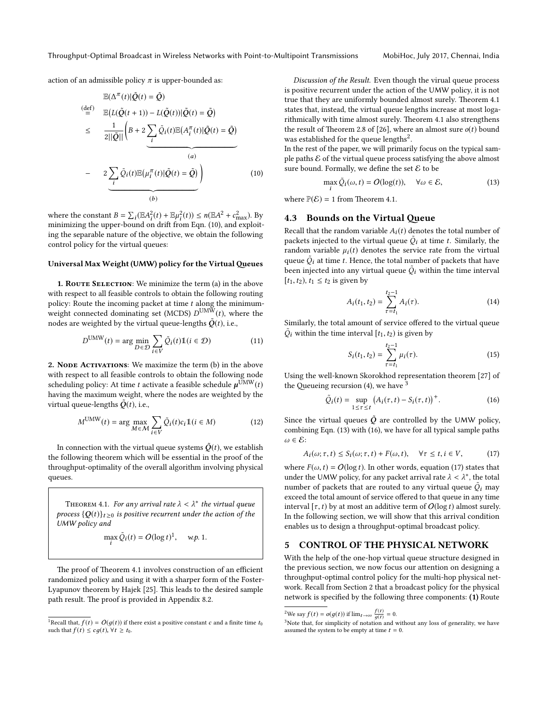action of an admissible policy  $\pi$  is upper-bounded as:

$$
\mathbb{E}(\Delta^{\pi}(t)|\tilde{Q}(t) = \tilde{Q})
$$
\n
$$
\stackrel{\text{(def)}}{=} \mathbb{E}\left(L(\tilde{Q}(t+1)) - L(\tilde{Q}(t))|\tilde{Q}(t) = \tilde{Q}\right)
$$
\n
$$
\leq \frac{1}{2||\tilde{Q}||}\left(B + 2\sum_{i} \tilde{Q}_{i}(t)\mathbb{E}(A_{i}^{\pi}(t)|\tilde{Q}(t) = \tilde{Q})\right)
$$
\n
$$
- 2\sum_{i} \tilde{Q}_{i}(t)\mathbb{E}(\mu_{i}^{\pi}(t)|\tilde{Q}(t) = \tilde{Q})
$$
\n
$$
\underbrace{(0)}
$$
\n(10)

where the constant  $B = \sum_i (\mathbb{E}A_i^2(t) + \mathbb{E}\mu_i^2(t)) \le n(\mathbb{E}A^2 + c_{\text{max}}^2)$ . By minimizing the upper-bound on drift from Eqn. (10), and exploiting the separable nature of the objective, we obtain the following control policy for the virtual queues:

#### Universal Max Weight (UMW) policy for the Virtual Queues

1. ROUTE SELECTION: We minimize the term (a) in the above with respect to all feasible controls to obtain the following routing policy: Route the incoming packet at time  $t$  along the minimumweight connected dominating set (MCDS)  $D^{\text{UMW}}(t)$ , where the nodes are weighted by the virtual queue-lengths  $\tilde{O}(t)$ , i.e.,

$$
D^{\text{UMW}}(t) = \arg\min_{D \in \mathcal{D}} \sum_{i \in V} \tilde{Q}_i(t) \mathbb{1}(i \in \mathcal{D})
$$
 (11)

2. NODE ACTIVATIONS: We maximize the term (b) in the above with respect to all feasible controls to obtain the following node scheduling policy: At time  $t$  activate a feasible schedule  $\mu^{\text{UMW}}(t)$ having the maximum weight, where the nodes are weighted by the virtual queue-lengths  $\tilde{Q}(t)$ , i.e.,

$$
M^{\text{UMW}}(t) = \arg\max_{M \in \mathcal{M}} \sum_{i \in V} \tilde{Q}_i(t)c_i \mathbb{1}(i \in M)
$$
 (12)

In connection with the virtual queue systems  $\tilde{Q}(t)$ , we establish the following theorem which will be essential in the proof of the throughput-optimality of the overall algorithm involving physical queues.

THEOREM 4.1. For any arrival rate  $\lambda < \lambda^*$  the virtual queue process  $\{Q(t)\}_{t\geq0}$  is positive recurrent under the action of the UMW policy and

$$
\max_i \tilde{Q}_i(t) = O(\log t)^1, \quad w.p. 1.
$$

The proof of Theorem 4.1 involves construction of an efficient randomized policy and using it with a sharper form of the Foster-Lyapunov theorem by Hajek [25]. This leads to the desired sample path result. The proof is provided in Appendix 8.2.

Discussion of the Result. Even though the virual queue process is positive recurrent under the action of the UMW policy, it is not true that they are uniformly bounded almost surely. Theorem 4.1 states that, instead, the virtual queue lengths increase at most logarithmically with time almost surely. Theorem 4.1 also strengthens the result of Theorem 2.8 of [26], where an almost sure  $o(t)$  bound was established for the queue lengths<sup>2</sup>.

In the rest of the paper, we will primarily focus on the typical sample paths  $\mathcal E$  of the virtual queue process satisfying the above almost sure bound. Formally, we define the set  $\mathcal E$  to be

$$
\max_{i} \tilde{Q}_{i}(\omega, t) = O(\log(t)), \quad \forall \omega \in \mathcal{E}, \tag{13}
$$

where  $\mathbb{P}(\mathcal{E}) = 1$  from Theorem 4.1.

#### 4.3 Bounds on the Virtual Queue

Recall that the random variable  $A_i(t)$  denotes the total number of packets injected to the virtual queue  $\tilde{Q}_i$  at time  $t.$  Similarly, the random variable  $\mu_i(t)$  denotes the service rate from the virtual queue  $\tilde{Q}_i$  at time  $t.$  Hence, the total number of packets that have been injected into any virtual queue  $\tilde{\mathcal{Q}}_i$  within the time interval  $[t_1, t_2)$ ,  $t_1 \le t_2$  is given by

$$
A_i(t_1, t_2) = \sum_{\tau=t_1}^{t_2-1} A_i(\tau). \tag{14}
$$

Similarly, the total amount of service offered to the virtual queue  $\tilde{Q}_i$  within the time interval  $[t_1, t_2)$  is given by

$$
S_i(t_1, t_2) = \sum_{\tau=t_1}^{t_2-1} \mu_i(\tau). \tag{15}
$$

Using the well-known Skorokhod representation theorem [27] of the Queueing recursion (4), we have  $3$ 

$$
\tilde{Q}_i(t) = \sup_{1 \leq \tau \leq t} \left( A_i(\tau, t) - S_i(\tau, t) \right)^+.
$$
 (16)

Since the virtual queues  $\tilde{Q}$  are controlled by the UMW policy, combining Eqn. (13) with (16), we have for all typical sample paths  $\omega \in \mathcal{E}$ :

$$
A_i(\omega; \tau, t) \le S_i(\omega; \tau, t) + F(\omega, t), \quad \forall \tau \le t, i \in V,
$$
 (17)

where  $F(\omega, t) = O(\log t)$ . In other words, equation (17) states that under the UMW policy, for any packet arrival rate  $\lambda < \lambda^*$ , the total number of packets that are routed to any virtual queue  $\tilde{\mathcal{Q}}_i$  may exceed the total amount of service offered to that queue in any time interval  $[\tau, t)$  by at most an additive term of  $O(\log t)$  almost surely. In the following section, we will show that this arrival condition enables us to design a throughput-optimal broadcast policy.

#### 5 CONTROL OF THE PHYSICAL NETWORK

With the help of the one-hop virtual queue structure designed in the previous section, we now focus our attention on designing a throughput-optimal control policy for the multi-hop physical network. Recall from Section 2 that a broadcast policy for the physical network is specified by the following three components: (1) Route

<sup>&</sup>lt;sup>1</sup>Recall that,  $f(t) = O(q(t))$  if there exist a positive constant c and a finite time  $t_0$ such that  $f(t) \le cg(t)$ ,  $\forall t \ge t_0$ .

<sup>&</sup>lt;sup>2</sup>We say  $f(t) = o(g(t))$  if  $\lim_{t \to \infty} \frac{f(t)}{g(t)} = 0$ .

<sup>&</sup>lt;sup>3</sup>Note that, for simplicity of notation and without any loss of generality, we have assumed the system to be empty at time  $t = 0$ .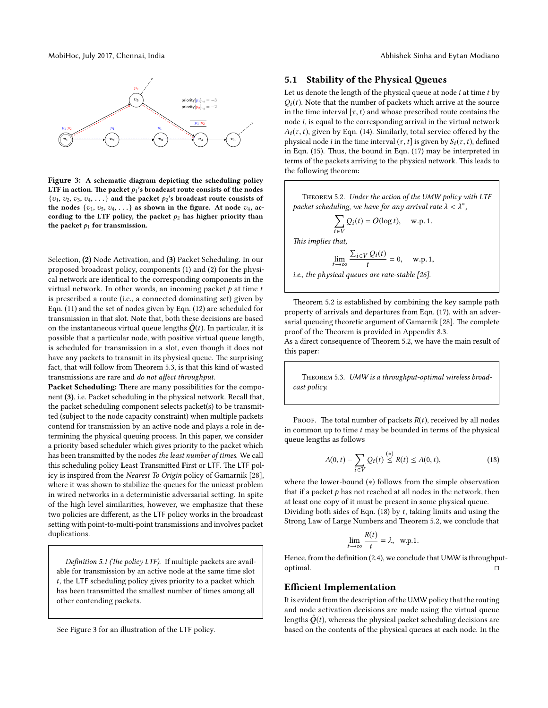

Figure 3: A schematic diagram depicting the scheduling policy LTF in action. The packet  $p_1$ 's broadcast route consists of the nodes  ${v_1, v_2, v_3, v_4, \ldots}$  and the packet  $p_2$ 's broadcast route consists of the nodes  $\{v_1, v_5, v_4, \ldots\}$  as shown in the figure. At node  $v_4$ , according to the LTF policy, the packet  $p_2$  has higher priority than the packet  $p_1$  for transmission.

Selection, (2) Node Activation, and (3) Packet Scheduling. In our proposed broadcast policy, components (1) and (2) for the physical network are identical to the corresponding components in the virtual network. In other words, an incoming packet  $p$  at time  $t$ is prescribed a route (i.e., a connected dominating set) given by Eqn. (11) and the set of nodes given by Eqn. (12) are scheduled for transmission in that slot. Note that, both these decisions are based on the instantaneous virtual queue lengths  $\tilde{O}(t)$ . In particular, it is possible that a particular node, with positive virtual queue length, is scheduled for transmission in a slot, even though it does not have any packets to transmit in its physical queue. The surprising fact, that will follow from Theorem 5.3, is that this kind of wasted transmissions are rare and do not affect throughput.

Packet Scheduling: There are many possibilities for the component (3), i.e. Packet scheduling in the physical network. Recall that, the packet scheduling component selects packet(s) to be transmitted (subject to the node capacity constraint) when multiple packets contend for transmission by an active node and plays a role in determining the physical queuing process. In this paper, we consider a priority based scheduler which gives priority to the packet which has been transmitted by the nodes the least number of times. We call this scheduling policy Least Transmitted First or LTF. The LTF policy is inspired from the Nearest To Origin policy of Gamarnik [28], where it was shown to stabilize the queues for the unicast problem in wired networks in a deterministic adversarial setting. In spite of the high level similarities, however, we emphasize that these two policies are different, as the LTF policy works in the broadcast setting with point-to-multi-point transmissions and involves packet duplications.

Definition 5.1 (The policy LTF). If multiple packets are available for transmission by an active node at the same time slot t, the LTF scheduling policy gives priority to a packet which has been transmitted the smallest number of times among all other contending packets.

See Figure 3 for an illustration of the LTF policy.

#### 5.1 Stability of the Physical Queues

Let us denote the length of the physical queue at node  $i$  at time  $t$  by  $Q_i(t)$ . Note that the number of packets which arrive at the source in the time interval  $[\tau, t)$  and whose prescribed route contains the node i, is equal to the corresponding arrival in the virtual network  $A_i(\tau, t)$ , given by Eqn. (14). Similarly, total service offered by the physical node *i* in the time interval  $(\tau, t]$  is given by  $S_i(\tau, t)$ , defined in Eqn.  $(15)$ . Thus, the bound in Eqn.  $(17)$  may be interpreted in terms of the packets arriving to the physical network. This leads to the following theorem:

Theorem 5.2. Under the action of the UMW policy with LTF packet scheduling, we have for any arrival rate  $\lambda < \lambda^*$ ,

$$
\sum_{i \in V} Q_i(t) = O(\log t), \quad \text{w.p. 1.}
$$

This implies that,

$$
\lim_{t \to \infty} \frac{\sum_{i \in V} Q_i(t)}{t} = 0, \quad \text{w.p. 1,}
$$

i.e., the physical queues are rate-stable [26].

Theorem 5.2 is established by combining the key sample path property of arrivals and departures from Eqn. (17), with an adversarial queueing theoretic argument of Gamarnik [28]. The complete proof of the Theorem is provided in Appendix 8.3.

As a direct consequence of Theorem 5.2, we have the main result of this paper:

Theorem 5.3. UMW is a throughput-optimal wireless broadcast policy.

PROOF. The total number of packets  $R(t)$ , received by all nodes in common up to time  $t$  may be bounded in terms of the physical queue lengths as follows

$$
A(0,t) - \sum_{i \in V} Q_i(t) \stackrel{(*)}{\leq} R(t) \leq A(0,t),\tag{18}
$$

where the lower-bound (∗) follows from the simple observation that if a packet  $p$  has not reached at all nodes in the network, then at least one copy of it must be present in some physical queue. Dividing both sides of Eqn.  $(18)$  by t, taking limits and using the Strong Law of Large Numbers and Theorem 5.2, we conclude that

$$
\lim_{t \to \infty} \frac{R(t)}{t} = \lambda, \text{ w.p.1.}
$$

Hence, from the definition (2.4), we conclude that UMW is throughputoptimal.

#### Efficient Implementation

It is evident from the description of the UMW policy that the routing and node activation decisions are made using the virtual queue lengths  $\tilde{Q}(t)$ , whereas the physical packet scheduling decisions are based on the contents of the physical queues at each node. In the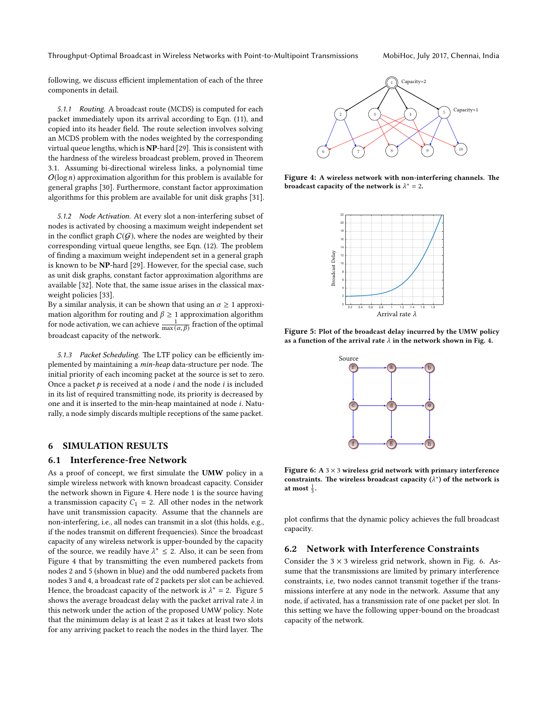following, we discuss efficient implementation of each of the three components in detail.

5.1.1 Routing. A broadcast route (MCDS) is computed for each packet immediately upon its arrival according to Eqn. (11), and copied into its header field. The route selection involves solving an MCDS problem with the nodes weighted by the corresponding virtual queue lengths, which is  $NP$ -hard [29]. This is consistent with the hardness of the wireless broadcast problem, proved in Theorem 3.1. Assuming bi-directional wireless links, a polynomial time  $O(\log n)$  approximation algorithm for this problem is available for general graphs [30]. Furthermore, constant factor approximation algorithms for this problem are available for unit disk graphs [31].

5.1.2 Node Activation. At every slot a non-interfering subset of nodes is activated by choosing a maximum weight independent set in the conflict graph  $C(G)$ , where the nodes are weighted by their corresponding virtual queue lengths, see Eqn. (12). The problem of finding a maximum weight independent set in a general graph is known to be NP-hard [29]. However, for the special case, such as unit disk graphs, constant factor approximation algorithms are available [32]. Note that, the same issue arises in the classical maxweight policies [33].

By a similar analysis, it can be shown that using an  $\alpha \geq 1$  approximation algorithm for routing and  $\beta \geq 1$  approximation algorithm for node activation, we can achieve  $\frac{1}{\max(\alpha, \beta)}$  fraction of the optimal broadcast capacity of the network.

5.1.3 Packet Scheduling. The LTF policy can be efficiently implemented by maintaining a min-heap data-structure per node. The initial priority of each incoming packet at the source is set to zero. Once a packet  $p$  is received at a node  $i$  and the node  $i$  is included in its list of required transmitting node, its priority is decreased by one and it is inserted to the min-heap maintained at node i. Naturally, a node simply discards multiple receptions of the same packet.

#### 6 SIMULATION RESULTS

#### 6.1 Interference-free Network

As a proof of concept, we first simulate the UMW policy in a simple wireless network with known broadcast capacity. Consider the network shown in Figure 4. Here node 1 is the source having a transmission capacity  $C_1 = 2$ . All other nodes in the network have unit transmission capacity. Assume that the channels are non-interfering, i.e., all nodes can transmit in a slot (this holds, e.g., if the nodes transmit on different frequencies). Since the broadcast capacity of any wireless network is upper-bounded by the capacity of the source, we readily have  $\lambda^* \leq 2$ . Also, it can be seen from Figure 4 that by transmitting the even numbered packets from nodes 2 and 5 (shown in blue) and the odd numbered packets from nodes 3 and 4, a broadcast rate of 2 packets per slot can be achieved. Hence, the broadcast capacity of the network is  $\lambda^* = 2$ . Figure 5 shows the average broadcast delay with the packet arrival rate  $\lambda$  in this network under the action of the proposed UMW policy. Note that the minimum delay is at least 2 as it takes at least two slots for any arriving packet to reach the nodes in the third layer. The



Figure 4: A wireless network with non-interfering channels. The broadcast capacity of the network is  $\lambda^* = 2$ .



Figure 5: Plot of the broadcast delay incurred by the UMW policy as a function of the arrival rate  $\lambda$  in the network shown in Fig. 4.



Figure 6: A  $3 \times 3$  wireless grid network with primary interference constraints. The wireless broadcast capacity ( $\lambda^*$ ) of the network is at most  $\frac{1}{3}$ .

plot confirms that the dynamic policy achieves the full broadcast capacity.

#### 6.2 Network with Interference Constraints

Consider the  $3 \times 3$  wireless grid network, shown in Fig. 6. Assume that the transmissions are limited by primary interference constraints, i.e, two nodes cannot transmit together if the transmissions interfere at any node in the network. Assume that any node, if activated, has a transmission rate of one packet per slot. In this setting we have the following upper-bound on the broadcast capacity of the network.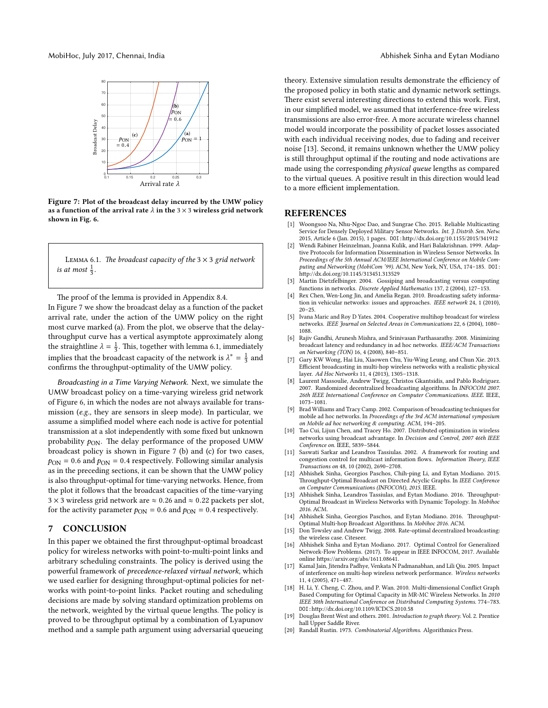

Figure 7: Plot of the broadcast delay incurred by the UMW policy as a function of the arrival rate  $\lambda$  in the 3  $\times$  3 wireless grid network shown in Fig. 6.

LEMMA 6.1. The broadcast capacity of the  $3 \times 3$  grid network is at most  $\frac{1}{3}$ .

The proof of the lemma is provided in Appendix 8.4. In Figure 7 we show the broadcast delay as a function of the packet arrival rate, under the action of the UMW policy on the right most curve marked (a). From the plot, we observe that the delaythroughput curve has a vertical asymptote approximately along the straightline  $\lambda = \frac{1}{3}$ . This, together with lemma 6.1, immediately implies that the broadcast capacity of the network is  $\lambda^* = \frac{1}{3}$  and confirms the throughput-optimality of the UMW policy.

Broadcasting in a Time Varying Network. Next, we simulate the UMW broadcast policy on a time-varying wireless grid network of Figure 6, in which the nodes are not always available for transmission (e.g., they are sensors in sleep mode). In particular, we assume a simplified model where each node is active for potential transmission at a slot independently with some fixed but unknown probability  $p_{\text{ON}}$ . The delay performance of the proposed UMW broadcast policy is shown in Figure 7 (b) and (c) for two cases,  $p_{\text{ON}} = 0.6$  and  $p_{\text{ON}} = 0.4$  respectively. Following similar analysis as in the preceding sections, it can be shown that the UMW policy is also throughput-optimal for time-varying networks. Hence, from the plot it follows that the broadcast capacities of the time-varying 3 × 3 wireless grid network are  $\approx$  0.26 and  $\approx$  0.22 packets per slot, for the activity parameter  $p_{\text{ON}} = 0.6$  and  $p_{\text{ON}} = 0.4$  respectively.

#### 7 CONCLUSION

In this paper we obtained the first throughput-optimal broadcast policy for wireless networks with point-to-multi-point links and arbitrary scheduling constraints. The policy is derived using the powerful framework of precedence-relaxed virtual network, which we used earlier for designing throughput-optimal policies for networks with point-to-point links. Packet routing and scheduling decisions are made by solving standard optimization problems on the network, weighted by the virtual queue lengths. The policy is proved to be throughput optimal by a combination of Lyapunov method and a sample path argument using adversarial queueing

theory. Extensive simulation results demonstrate the efficiency of the proposed policy in both static and dynamic network settings. There exist several interesting directions to extend this work. First, in our simplified model, we assumed that interference-free wireless transmissions are also error-free. A more accurate wireless channel model would incorporate the possibility of packet losses associated with each individual receiving nodes, due to fading and receiver noise [13]. Second, it remains unknown whether the UMW policy is still throughput optimal if the routing and node activations are made using the corresponding physical queue lengths as compared to the virtual queues. A positive result in this direction would lead to a more efficient implementation.

#### REFERENCES

- [1] Woongsoo Na, Nhu-Ngoc Dao, and Sungrae Cho. 2015. Reliable Multicasting Service for Densely Deployed Military Sensor Networks. Int. J. Distrib. Sen. Netw. 2015, Article 6 (Jan. 2015), 1 pages. DOI:http://dx.doi.org/10.1155/2015/341912
- [2] Wendi Rabiner Heinzelman, Joanna Kulik, and Hari Balakrishnan. 1999. Adaptive Protocols for Information Dissemination in Wireless Sensor Networks. In Proceedings of the 5th Annual ACM/IEEE International Conference on Mobile Computing and Networking (MobiCom '99). ACM, New York, NY, USA, 174–185. DOI: hp://dx.doi.org/10.1145/313451.313529
- [3] Martin Dietzfelbinger. 2004. Gossiping and broadcasting versus computing functions in networks. Discrete Applied Mathematics 137, 2 (2004), 127–153.
- [4] Rex Chen, Wen-Long Jin, and Amelia Regan. 2010. Broadcasting safety information in vehicular networks: issues and approaches. IEEE network 24, 1 (2010),  $20 - 25.$
- [5] Ivana Maric and Roy D Yates. 2004. Cooperative multihop broadcast for wireless networks. IEEE Journal on Selected Areas in Communications 22, 6 (2004), 1080– 1088.
- [6] Rajiv Gandhi, Arunesh Mishra, and Srinivasan Parthasarathy. 2008. Minimizing broadcast latency and redundancy in ad hoc networks. IEEE/ACM Transactions on Networking (TON) 16, 4 (2008), 840–851.
- [7] Gary KW Wong, Hai Liu, Xiaowen Chu, Yiu-Wing Leung, and Chun Xie. 2013. Efficient broadcasting in multi-hop wireless networks with a realistic physical layer. Ad Hoc Networks 11, 4 (2013), 1305–1318.
- [8] Laurent Massoulie, Andrew Twigg, Christos Gkantsidis, and Pablo Rodriguez. 2007. Randomized decentralized broadcasting algorithms. In INFOCOM 2007. 26th IEEE International Conference on Computer Communications. IEEE. IEEE, 1073–1081.
- [9] Brad Williams and Tracy Camp. 2002. Comparison of broadcasting techniques for mobile ad hoc networks. In Proceedings of the 3rd ACM international symposium on Mobile ad hoc networking & computing. ACM, 194–205.
- [10] Tao Cui, Lijun Chen, and Tracey Ho. 2007. Distributed optimization in wireless networks using broadcast advantage. In Decision and Control, 2007 46th IEEE Conference on. IEEE, 5839–5844.
- [11] Saswati Sarkar and Leandros Tassiulas. 2002. A framework for routing and congestion control for multicast information flows. Information Theory, IEEE Transactions on 48, 10 (2002), 2690–2708.
- [12] Abhishek Sinha, Georgios Paschos, Chih-ping Li, and Eytan Modiano. 2015. Throughput-Optimal Broadcast on Directed Acyclic Graphs. In IEEE Conference on Computer Communications (INFOCOM), 2015. IEEE.
- [13] Abhishek Sinha, Leandros Tassiulas, and Eytan Modiano. 2016. Throughput-Optimal Broadcast in Wireless Networks with Dynamic Topology. In Mobihoc 2016. ACM.
- [14] Abhishek Sinha, Georgios Paschos, and Eytan Modiano. 2016. Throughput-Optimal Multi-hop Broadcast Algorithms. In Mobihoc 2016. ACM.
- [15] Don Towsley and Andrew Twigg. 2008. Rate-optimal decentralized broadcasting: the wireless case. Citeseer.
- [16] Abhishek Sinha and Eytan Modiano. 2017. Optimal Control for Generalized Network-Flow Problems. (2017). To appear in IEEE INFOCOM, 2017. Available online https://arxiv.org/abs/1611.08641
- [17] Kamal Jain, Jitendra Padhye, Venkata N Padmanabhan, and Lili Qiu. 2005. Impact of interference on multi-hop wireless network performance. Wireless networks 11, 4 (2005), 471–487.
- [18] H. Li, Y. Cheng, C. Zhou, and P. Wan. 2010. Multi-dimensional Conflict Graph Based Computing for Optimal Capacity in MR-MC Wireless Networks. In 2010 IEEE 30th International Conference on Distributed Computing Systems. 774–783. DOI:hp://dx.doi.org/10.1109/ICDCS.2010.58
- [19] Douglas Brent West and others. 2001. Introduction to graph theory. Vol. 2. Prentice hall Upper Saddle River.
- [20] Randall Rustin. 1973. Combinatorial Algorithms. Algorithmics Press.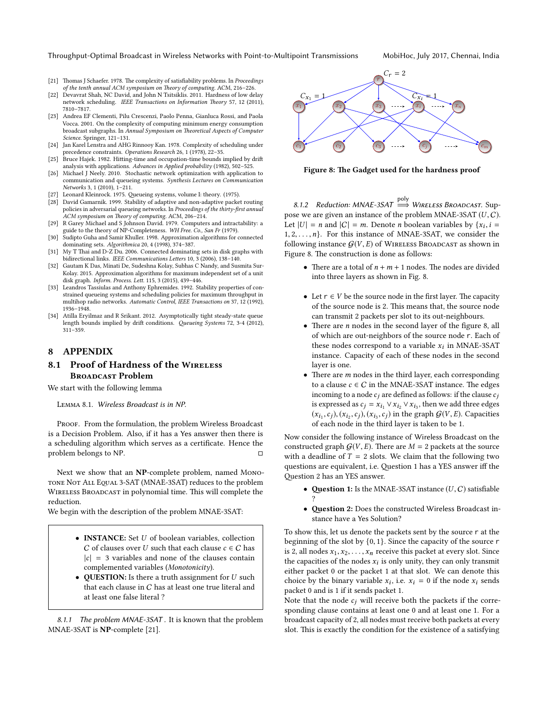Throughput-Optimal Broadcast in Wireless Networks with Point-to-Multipoint Transmissions MobiHoc, July 2017, Chennai, India

- [21] Thomas J Schaefer. 1978. The complexity of satisfiability problems. In Proceedings of the tenth annual ACM symposium on Theory of computing. ACM, 216-226.
- [22] Devavrat Shah, NC David, and John N Tsitsiklis. 2011. Hardness of low delay network scheduling. IEEE Transactions on Information Theory 57, 12 (2011), 7810–7817.
- [23] Andrea EF Clementi, Pilu Crescenzi, Paolo Penna, Gianluca Rossi, and Paola Vocca. 2001. On the complexity of computing minimum energy consumption broadcast subgraphs. In Annual Symposium on Theoretical Aspects of Computer Science. Springer, 121–131.
- [24] Jan Karel Lenstra and AHG Rinnooy Kan. 1978. Complexity of scheduling under precedence constraints. Operations Research 26, 1 (1978), 22–35.
- [25] Bruce Hajek. 1982. Hitting-time and occupation-time bounds implied by drift analysis with applications. Advances in Applied probability (1982), 502–525.
- [26] Michael J Neely. 2010. Stochastic network optimization with application to communication and queueing systems. Synthesis Lectures on Communication Networks 3, 1 (2010), 1–211.
- Leonard Kleinrock. 1975. Queueing systems, volume I: theory. (1975)
- [28] David Gamarnik. 1999. Stability of adaptive and non-adaptive packet routing policies in adversarial queueing networks. In Proceedings of the thirty-first annual ACM symposium on Theory of computing. ACM, 206-214.
- [29] R Garey Michael and S Johnson David. 1979. Computers and intractability: a guide to the theory of NP-Completeness. WH Free. Co., San Fr (1979).
- [30] Sudipto Guha and Samir Khuller. 1998. Approximation algorithms for connected dominating sets. Algorithmica 20, 4 (1998), 374–387.
- [31] My T Thai and D-Z Du. 2006. Connected dominating sets in disk graphs with bidirectional links. IEEE Communications Letters 10, 3 (2006), 138-140.
- [32] Gautam K Das, Minati De, Sudeshna Kolay, Subhas C Nandy, and Susmita Sur-Kolay. 2015. Approximation algorithms for maximum independent set of a unit disk graph. Inform. Process. Lett. 115, 3 (2015), 439-446.
- [33] Leandros Tassiulas and Anthony Ephremides. 1992. Stability properties of constrained queueing systems and scheduling policies for maximum throughput in multihop radio networks. Automatic Control, IEEE Transactions on 37, 12 (1992), 1936–1948.
- [34] Atilla Eryilmaz and R Srikant. 2012. Asymptotically tight steady-state queue length bounds implied by drift conditions. Queueing Systems 72, 3-4 (2012), 311–359.

# 8 APPENDIX

# 8.1 Proof of Hardness of the WIRELESS **BROADCAST Problem**

We start with the following lemma

Lemma 8.1. Wireless Broadcast is in NP.

PROOF. From the formulation, the problem Wireless Broadcast is a Decision Problem. Also, if it has a Yes answer then there is a scheduling algorithm which serves as a certificate. Hence the problem belongs to NP.

Next we show that an NP-complete problem, named Mono-TONE NOT ALL EQUAL 3-SAT (MNAE-3SAT) reduces to the problem WIRELESS BROADCAST in polynomial time. This will complete the reduction.

We begin with the description of the problem MNAE-3SAT:

- **INSTANCE:** Set U of boolean variables, collection C of clauses over U such that each clause  $c \in C$  has  $|c| = 3$  variables and none of the clauses contain complemented variables (Monotonicity).
- **QUESTION:** Is there a truth assignment for  $U$  such that each clause in C has at least one true literal and at least one false literal ?

8.1.1 The problem MNAE-3SAT . It is known that the problem MNAE-3SAT is NP-complete [21].



Figure 8: The Gadget used for the hardness proof

8.1.2 Reduction: MNAE-3SAT  $\stackrel{\text{poly}}{\Longrightarrow}$  WIRELESS BROADCAST. Suppose we are given an instance of the problem MNAE-3SAT  $(U, C)$ . Let  $|U| = n$  and  $|C| = m$ . Denote *n* boolean variables by  $\{x_i, i =$  $1, 2, \ldots, n$ . For this instance of MNAE-3SAT, we consider the following instance  $G(V, E)$  of WIRELESS BROADCAST as shown in Figure 8. The construction is done as follows:

- There are a total of  $n + m + 1$  nodes. The nodes are divided into three layers as shown in Fig. 8.
- Let  $r \in V$  be the source node in the first layer. The capacity of the source node is 2. This means that, the source node can transmit 2 packets per slot to its out-neighbours.
- There are *n* nodes in the second layer of the figure 8, all of which are out-neighbors of the source node r. Each of these nodes correspond to a variable  $x_i$  in MNAE-3SAT instance. Capacity of each of these nodes in the second layer is one.
- There are  $m$  nodes in the third layer, each corresponding to a clause  $c \in C$  in the MNAE-3SAT instance. The edges incoming to a node  $c_i$  are defined as follows: if the clause  $c_i$ is expressed as  $c_j = x_{i_1} \vee x_{i_2} \vee x_{i_3}$ , then we add three edges  $(x_{i_1}, c_j), (x_{i_2}, c_j), (x_{i_3}, c_j)$  in the graph  $\mathcal{G}(V, E)$ . Capacities of each node in the third layer is taken to be 1.

Now consider the following instance of Wireless Broadcast on the constructed graph  $G(V, E)$ . There are  $M = 2$  packets at the source with a deadline of  $T = 2$  slots. We claim that the following two questions are equivalent, i.e. Question 1 has a YES answer iff the Question 2 has an YES answer.

- **Question 1:** Is the MNAE-3SAT instance  $(U, C)$  satisfiable ?
- Question 2: Does the constructed Wireless Broadcast instance have a Yes Solution?

To show this, let us denote the packets sent by the source r at the beginning of the slot by {0, <sup>1</sup>}. Since the capacity of the source <sup>r</sup> is 2, all nodes  $x_1, x_2, \ldots, x_n$  receive this packet at every slot. Since the capacities of the nodes  $x_i$  is only unity, they can only transmit either packet 0 or the packet 1 at that slot. We can denote this choice by the binary variable  $x_i$ , i.e.  $x_i = 0$  if the node  $x_i$  sends packet 0 and is 1 if it sends packet 1.

Note that the node  $c_j$  will receive both the packets if the corresponding clause contains at least one 0 and at least one 1. For a broadcast capacity of 2, all nodes must receive both packets at every slot. This is exactly the condition for the existence of a satisfying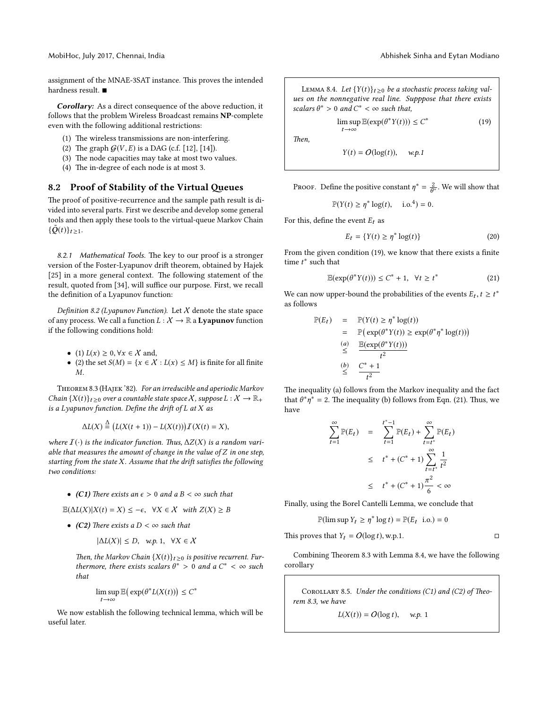MobiHoc, July 2017, Chennai, India Abhishek Sinha and Eytan Modiano

assignment of the MNAE-3SAT instance. This proves the intended hardness result. ■

Corollary: As a direct consequence of the above reduction, it follows that the problem Wireless Broadcast remains NP-complete even with the following additional restrictions:

- (1) The wireless transmissions are non-interfering.
- (2) The graph  $G(V, E)$  is a DAG (c.f. [12], [14]).
- (3) The node capacities may take at most two values.
- (4) The in-degree of each node is at most 3.

### 8.2 Proof of Stability of the Virtual Queues

The proof of positive-recurrence and the sample path result is divided into several parts. First we describe and develop some general tools and then apply these tools to the virtual-queue Markov Chain  $\{\tilde{Q}(t)\}_{t\geq 1}$ .

8.2.1 Mathematical Tools. The key to our proof is a stronger version of the Foster-Lyapunov drift theorem, obtained by Hajek  $[25]$  in a more general context. The following statement of the result, quoted from [34], will suffice our purpose. First, we recall the definition of a Lyapunov function:

Definition 8.2 (Lyapunov Function). Let  $X$  denote the state space of any process. We call a function  $L : \mathcal{X} \to \mathbb{R}$  a **Lyapunov** function if the following conditions hold:

- (1)  $L(x) \geq 0$ ,  $\forall x \in \mathcal{X}$  and,
- (2) the set  $S(M) = \{x \in \mathcal{X} : L(x) \leq M\}$  is finite for all finite M.

Theorem 8.3 (Hajek '82). For an irreducible and aperiodic Markov Chain  $\{X(t)\}_{t\geq 0}$  over a countable state space X, suppose  $L : X \to \mathbb{R}_+$ is a Lyapunov function. Define the drift of  $L$  at  $X$  as

$$
\Delta L(X) \stackrel{\Delta}{=} (L(X(t+1)) - L(X(t))) \mathcal{I}(X(t) = X),
$$

where  $I(\cdot)$  is the indicator function. Thus,  $\Delta Z(X)$  is a random variable that measures the amount of change in the value of  $Z$  in one step, starting from the state  $X$ . Assume that the drift satisfies the following two conditions:

- (C1) There exists an  $\epsilon > 0$  and a  $B < \infty$  such that
- $\mathbb{E}(\Delta L(X)|X(t) = X) \leq -\epsilon$ ,  $\forall X \in \mathcal{X}$  with  $Z(X) \geq B$
- (C2) There exists a  $D < \infty$  such that

$$
|\Delta L(X)| \leq D, \quad w.p. 1, \quad \forall X \in \mathcal{X}
$$

Then, the Markov Chain  ${X(t)}_{t>0}$  is positive recurrent. Furthermore, there exists scalars  $\theta^* > 0$  and a  $C^* < \infty$  such that

$$
\limsup_{t \to \infty} \mathbb{E} \big( \exp(\theta^* L(X(t))) \big) \le C^*
$$

We now establish the following technical lemma, which will be useful later.

LEMMA 8.4. Let  ${Y(t)}_{t\geq0}$  be a stochastic process taking values on the nonnegative real line. Supppose that there exists scalars  $\theta^* > 0$  and  $C^* < \infty$  such that,

$$
\limsup_{t \to \infty} \mathbb{E}(\exp(\theta^* Y(t))) \le C^* \tag{19}
$$

Then,

$$
Y(t) = O(\log(t)), \quad w.p.1
$$

PROOF. Define the positive constant  $\eta^* = \frac{2}{\theta^*}$ . We will show that

 $\mathbb{P}(Y(t) \ge \eta^* \log(t)), \text{ i.o.}^4) = 0.$ 

For this, define the event  $\mathcal{E}_t$  as

$$
E_t = \{ Y(t) \ge \eta^* \log(t) \}
$$
 (20)

From the given condition (19), we know that there exists a finite time  $t^*$  such that

$$
\mathbb{E}(\exp(\theta^*Y(t))) \le C^* + 1, \quad \forall t \ge t^* \tag{21}
$$

We can now upper-bound the probabilities of the events  $E_t, t \geq t^*$ as follows

$$
\mathbb{P}(E_t) = \mathbb{P}(Y(t) \ge \eta^* \log(t))
$$
\n
$$
= \mathbb{P}(\exp(\theta^* Y(t)) \ge \exp(\theta^* \eta^* \log(t)))
$$
\n(a) 
$$
\frac{\mathbb{E}(\exp(\theta^* Y(t)))}{t^2}
$$
\n(b) 
$$
\frac{C^* + 1}{t^2}
$$

The inequality (a) follows from the Markov inequality and the fact that  $\theta^* \eta^* = 2$ . The inequality (b) follows from Eqn. (21). Thus, we have

$$
\sum_{t=1}^{\infty} \mathbb{P}(E_t) = \sum_{t=1}^{t^*-1} \mathbb{P}(E_t) + \sum_{t=t^*}^{\infty} \mathbb{P}(E_t)
$$
  

$$
\leq t^* + (C^* + 1) \sum_{t=t^*}^{\infty} \frac{1}{t^2}
$$
  

$$
\leq t^* + (C^* + 1) \frac{\pi^2}{6} < \infty
$$

Finally, using the Borel Cantelli Lemma, we conclude that

$$
\mathbb{P}(\limsup Y_t \ge \eta^* \log t) = \mathbb{P}(E_t \text{ i.o.}) = 0
$$

This proves that  $Y_t = O(\log t)$ , w.p.1.

Combining Theorem 8.3 with Lemma 8.4, we have the following corollary

COROLLARY 8.5. Under the conditions (C1) and (C2) of Theorem 8.3, we have

 $L(X(t)) = O(\log t), \quad w.p. 1$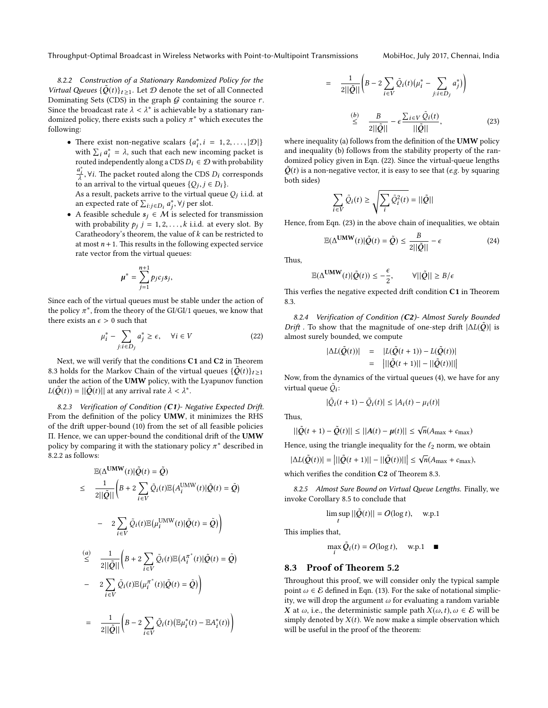Throughput-Optimal Broadcast in Wireless Networks with Point-to-Multipoint Transmissions MobiHoc, July 2017, Chennai, India

8.2.2 Construction of a Stationary Randomized Policy for the Virtual Queues  ${\{\tilde{Q}(t)\}_{t \geq 1}}$ . Let  $D$  denote the set of all Connected Dominating Sets (CDS) in the graph  $G$  containing the source r. Since the broadcast rate  $\lambda < \lambda^*$  is achievable by a stationary randomized policy, there exists such a policy  $\pi^*$  which executes the following:

• There exist non-negative scalars  $\{a_i^*, i = 1, 2, ..., |\mathcal{D}|\}$ with  $\sum_i a_i^* = \lambda$ , such that each new incoming packet is routed independently along a CDS  $D_i \in \mathcal{D}$  with probability  $\frac{a_i^*}{\lambda}$ ,  $\forall i$ . The packet routed along the CDS  $D_i$  corresponds

to an arrival to the virtual queues  $\{Q_j, j \in D_i\}$ . As a result, packets arrive to the virtual queue  $Q_j$  i.i.d. at an expected rate of  $\sum_{i:j \in D_i} a_j^*$ ,  $\forall j$  per slot.

• A feasible schedule  $s_j \in M$  is selected for transmission with probability  $p_j$   $j = 1, 2, ..., k$  i.i.d. at every slot. By Caratheodory's theorem, the value of  $k$  can be restricted to at most  $n + 1$ . This results in the following expected service rate vector from the virtual queues:

$$
\mu^* = \sum_{j=1}^{n+1} p_j c_j s_j,
$$

Since each of the virtual queues must be stable under the action of the policy  $\pi^*,$  from the theory of the GI/GI/1 queues, we know that there exists an  $\epsilon > 0$  such that

$$
\mu_i^* - \sum_{j:i \in D_j} a_j^* \ge \epsilon, \quad \forall i \in V \tag{22}
$$

Next, we will verify that the conditions  $C1$  and  $C2$  in Theorem 8.3 holds for the Markov Chain of the virtual queues  $\{\tilde{Q}(t)\}_{t \geq 1}$ under the action of the UMW policy, with the Lyapunov function  $L(\tilde{Q}(t)) = ||\tilde{Q}(t)||$  at any arrival rate  $\lambda < \lambda^*$ .

8.2.3 Verification of Condition  $(C1)$ - Negative Expected Drift. From the definition of the policy UMW, it minimizes the RHS of the drift upper-bound (10) from the set of all feasible policies Π. Hence, we can upper-bound the conditional drift of the UMW policy by comparing it with the stationary policy  $\pi^*$  described in 8.2.2 as follows:

$$
\mathbb{E}(\Delta^{\text{UMW}}(t)|\tilde{Q}(t) = \tilde{Q})
$$
\n
$$
\leq \frac{1}{2||\tilde{Q}||} \left(B + 2 \sum_{i \in V} \tilde{Q}_i(t) \mathbb{E}(A_i^{\text{UMW}}(t)|\tilde{Q}(t) = \tilde{Q})\right)
$$
\n
$$
- 2 \sum_{i \in V} \tilde{Q}_i(t) \mathbb{E}(\mu_i^{\text{UMW}}(t)|\tilde{Q}(t) = \tilde{Q})\right)
$$
\n
$$
\overset{(a)}{\leq} \frac{1}{2||\tilde{Q}||} \left(B + 2 \sum_{i \in V} \tilde{Q}_i(t) \mathbb{E}(A_i^{\pi^*}(t)|\tilde{Q}(t) = \tilde{Q})\right)
$$
\n
$$
- 2 \sum_{i \in V} \tilde{Q}_i(t) \mathbb{E}(\mu_i^{\pi^*}(t)|\tilde{Q}(t) = \tilde{Q})\right)
$$
\n
$$
= \frac{1}{2||\tilde{Q}||} \left(B - 2 \sum_{i \in V} \tilde{Q}_i(t)(\mathbb{E}\mu_i^*(t) - \mathbb{E}A_i^*(t))\right)
$$

$$
= \frac{1}{2||\tilde{Q}||} \left( B - 2 \sum_{i \in V} \tilde{Q}_i(t) \left( \mu_i^* - \sum_{j:i \in D_j} a_j^* \right) \right)
$$
  

$$
\stackrel{(b)}{\leq} \frac{B}{2||\tilde{Q}||} - \epsilon \frac{\sum_{i \in V} \tilde{Q}_i(t)}{||\tilde{Q}||},
$$
 (23)

where inequality (a) follows from the definition of the UMW policy and inequality (b) follows from the stability property of the randomized policy given in Eqn. (22). Since the virtual-queue lengths  $\tilde{Q}(t)$  is a non-negative vector, it is easy to see that (e.g. by squaring both sides)

$$
\sum_{i \in V} \tilde{Q}_i(t) \ge \sqrt{\sum_i \tilde{Q}_i^2(t)} = ||\tilde{Q}||
$$

Hence, from Eqn. (23) in the above chain of inequalities, we obtain

$$
\mathbb{E}(\Delta^{\text{UMW}}(t)|\tilde{Q}(t) = \tilde{Q}) \le \frac{B}{2||\tilde{Q}||} - \epsilon
$$
 (24)

Thus.

$$
\mathbb{E}(\Delta^{\text{UMW}}(t)|\tilde{Q}(t)) \leq -\frac{\epsilon}{2}, \qquad \forall ||\tilde{Q}|| \geq B/\epsilon
$$

This verfies the negative expected drift condition  $C1$  in Theorem 8.3.

8.2.4 Verification of Condition (C2)- Almost Surely Bounded Drift . To show that the magnitude of one-step drift  $|\Delta L(\tilde{Q})|$  is almost surely bounded, we compute

$$
|\Delta L(\tilde{Q}(t))| = |L(\tilde{Q}(t+1)) - L(\tilde{Q}(t))|
$$
  
= 
$$
|||\tilde{Q}(t+1)|| - ||\tilde{Q}(t))|||
$$

Now, from the dynamics of the virtual queues (4), we have for any virtual queue  $\tilde{Q}_{\boldsymbol{i}}$ :

$$
|\tilde{Q}_i(t+1) - \tilde{Q}_i(t)| \le |A_i(t) - \mu_i(t)|
$$

Thus.

$$
||\tilde{Q}(t+1) - \tilde{Q}(t)|| \leq ||A(t) - \mu(t)|| \leq \sqrt{n}(A_{\text{max}} + c_{\text{max}})
$$

Hence, using the triangle inequality for the  $\ell_2$  norm, we obtain

$$
|\Delta L(\tilde{Q}(t))| = \left| ||\tilde{Q}(t+1)|| - ||\tilde{Q}(t))|| \right| \leq \sqrt{n}(A_{\max} + c_{\max}),
$$

which verifies the condition  $C2$  of Theorem 8.3.

8.2.5 Almost Sure Bound on Virtual Queue Lengths. Finally, we invoke Corollary 8.5 to conclude that

$$
\limsup_{t} ||\tilde{Q}(t)|| = O(\log t), \quad \text{w.p.1}
$$

This implies that,

$$
\max_{i} \tilde{Q}_i(t) = O(\log t), \quad \text{w.p.1} \quad \blacksquare
$$

#### 8.3 Proof of Theorem 5.2

Throughout this proof, we will consider only the typical sample point  $\omega \in \mathcal{E}$  defined in Eqn. (13). For the sake of notational simplicity, we will drop the argument  $\omega$  for evaluating a random variable X at  $\omega$ , i.e., the deterministic sample path  $X(\omega, t)$ ,  $\omega \in \mathcal{E}$  will be simply denoted by  $X(t)$ . We now make a simple observation which will be useful in the proof of the theorem: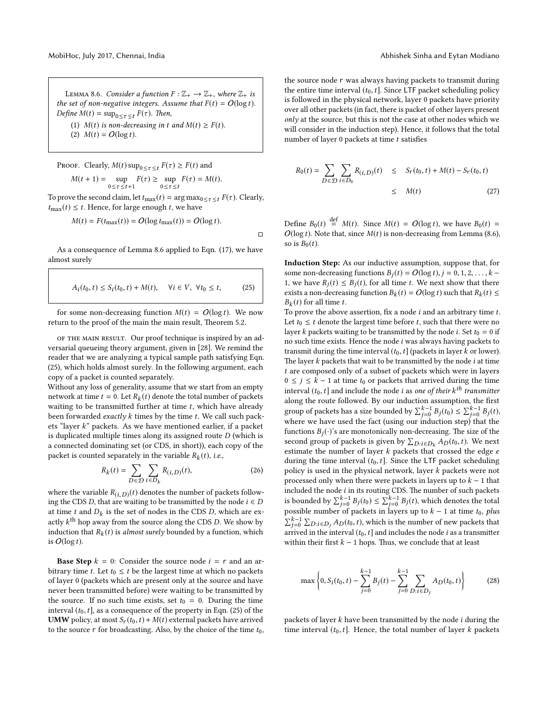LEMMA 8.6. Consider a function  $F : \mathbb{Z}_+ \to \mathbb{Z}_+$ , where  $\mathbb{Z}_+$  is the set of non-negative integers. Assume that  $F(t) = O(\log t)$ . Define  $M(t) = \sup_{0 \le \tau \le t} F(\tau)$ . Then, (1)  $M(t)$  is non-decreasing in t and  $M(t) \geq F(t)$ .

(2)  $M(t) = O(\log t)$ .

PROOF. Clearly,  $M(t)$  sup $_{0 \leq \tau \leq t} F(\tau) \geq F(t)$  and  $M(t + 1) = \sup_{0 \le \tau \le t+1} F(\tau) \ge \sup_{0 \le \tau \le t} F(\tau) = M(t).$ 

To prove the second claim, let  $t_{\text{max}}(t) = \arg \max_{0 \leq \tau \leq t} F(\tau)$ . Clearly,  $t_{\text{max}}(t) \leq t$ . Hence, for large enough t, we have

$$
M(t) = F(t_{\text{max}}(t)) = O(\log t_{\text{max}}(t)) = O(\log t).
$$

 $\Box$ 

As a consequence of Lemma 8.6 applied to Eqn. (17), we have almost surely

$$
A_i(t_0, t) \le S_i(t_0, t) + M(t), \quad \forall i \in V, \ \forall t_0 \le t,
$$
 (25)

for some non-decreasing function  $M(t) = O(\log t)$ . We now return to the proof of the main the main result, Theorem 5.2.

of the main result. Our proof technique is inspired by an adversarial queueing theory argument, given in [28]. We remind the reader that we are analyzing a typical sample path satisfying Eqn. (25), which holds almost surely. In the following argument, each copy of a packet is counted separately.

Without any loss of generality, assume that we start from an empty network at time  $t = 0$ . Let  $R_k(t)$  denote the total number of packets waiting to be transmitted further at time  $t$ , which have already been forwarded *exactly*  $k$  times by the time  $t$ . We call such packets "layer k" packets. As we have mentioned earlier, if a packet is duplicated multiple times along its assigned route D (which is a connected dominating set (or CDS, in short)), each copy of the packet is counted separately in the variable  $R_k(t)$ , *i.e.*,

$$
R_k(t) = \sum_{D \in \mathcal{D}} \sum_{i \in D_k} R_{(i,D)}(t),\tag{26}
$$

where the variable  $R_{(i,D)}(t)$  denotes the number of packets following the CDS D, that are waiting to be transmitted by the node  $i \in D$ at time  $t$  and  $D_k$  is the set of nodes in the CDS  $D$ , which are exactly  $k^{\text{th}}$  hop away from the source along the CDS D. We show by induction that  $R_k(t)$  is *almost surely* bounded by a function, which is  $O(\log t)$ .

**Base Step**  $k = 0$ : Consider the source node  $i = r$  and an arbitrary time t. Let  $t_0 \leq t$  be the largest time at which no packets of layer 0 (packets which are present only at the source and have never been transmitted before) were waiting to be transmitted by the source. If no such time exists, set  $t_0 = 0$ . During the time interval  $(t_0, t]$ , as a consequence of the property in Eqn. (25) of the **UMW** policy, at most  $S_r(t_0, t) + M(t)$  external packets have arrived to the source r for broadcasting. Also, by the choice of the time  $t_0$ , the source node r was always having packets to transmit during the entire time interval  $(t_0, t]$ . Since LTF packet scheduling policy is followed in the physical network, layer 0 packets have priority over all other packets (in fact, there is packet of other layers present only at the source, but this is not the case at other nodes which we will consider in the induction step). Hence, it follows that the total number of layer  $0$  packets at time  $t$  satisfies

$$
R_0(t) = \sum_{D \in \mathcal{D}} \sum_{i \in D_0} R_{(i, D)}(t) \leq S_r(t_0, t) + M(t) - S_r(t_0, t)
$$
  
 
$$
\leq M(t) \tag{27}
$$

Define  $B_0(t) \stackrel{\text{def}}{=} M(t)$ . Since  $M(t) = O(\log t)$ , we have  $B_0(t) =$  $O(\log t)$ . Note that, since  $M(t)$  is non-decreasing from Lemma (8.6), so is  $B_0(t)$ .

Induction Step: As our inductive assumption, suppose that, for some non-decreasing functions  $B_i(t) = O(\log t), j = 0, 1, 2, \ldots, k$  – 1, we have  $R_i(t) \leq B_i(t)$ , for all time t. We next show that there exists a non-decreasing function  $B_k(t) = O(\log t)$  such that  $R_k(t) \leq$  $B_k(t)$  for all time t.

To prove the above assertion, fix a node  $i$  and an arbitrary time  $t$ . Let  $t_0 \leq t$  denote the largest time before t, such that there were no layer k packets waiting to be transmitted by the node *i*. Set  $t_0 = 0$  if no such time exists. Hence the node i was always having packets to transmit during the time interval  $(t_0, t]$  (packets in layer k or lower). The layer  $k$  packets that wait to be transmitted by the node  $i$  at time t are composed only of a subset of packets which were in layers  $0 \le j \le k - 1$  at time  $t_0$  or packets that arrived during the time interval  $(t_0, t]$  and include the node *i* as one of their  $k^{th}$  transmitter along the route followed. By our induction assumption, the first group of packets has a size bounded by  $\sum_{j=0}^{k-1} B_j(t_0) \leq \sum_{j=0}^{k-1} B_j(t)$ , where we have used the fact (using our induction step) that the functions  $B_i(\cdot)$ 's are monotonically non-decreasing. The size of the second group of packets is given by  $\sum_{D:i \in D_k} A_D(t_0, t)$ . We next estimate the number of layer  $k$  packets that crossed the edge  $e$ during the time interval  $(t_0, t]$ . Since the LTF packet scheduling policy is used in the physical network, layer k packets were not processed only when there were packets in layers up to  $k - 1$  that included the node  $i$  in its routing CDS. The number of such packets is bounded by  $\sum_{j=0}^{k-1}B_j(t_0)\leq \sum_{j=0}^{k-1}B_j(t)$ , which denotes the total possible number of packets in layers up to  $k - 1$  at time  $t_0$ , plus  $\sum_{j=0}^{k-1} \sum_{D:i \in D_j} A_D(t_0, t)$ , which is the number of new packets that arrived in the interval  $(t_0, t]$  and includes the node i as a transmitter within their first  $k - 1$  hops. Thus, we conclude that at least

$$
\max\left\{0, S_i(t_0, t) - \sum_{j=0}^{k-1} B_j(t) - \sum_{j=0}^{k-1} \sum_{D: i \in D_j} A_D(t_0, t)\right\}
$$
(28)

packets of layer  $k$  have been transmitted by the node  $i$  during the time interval  $(t_0, t]$ . Hence, the total number of layer k packets